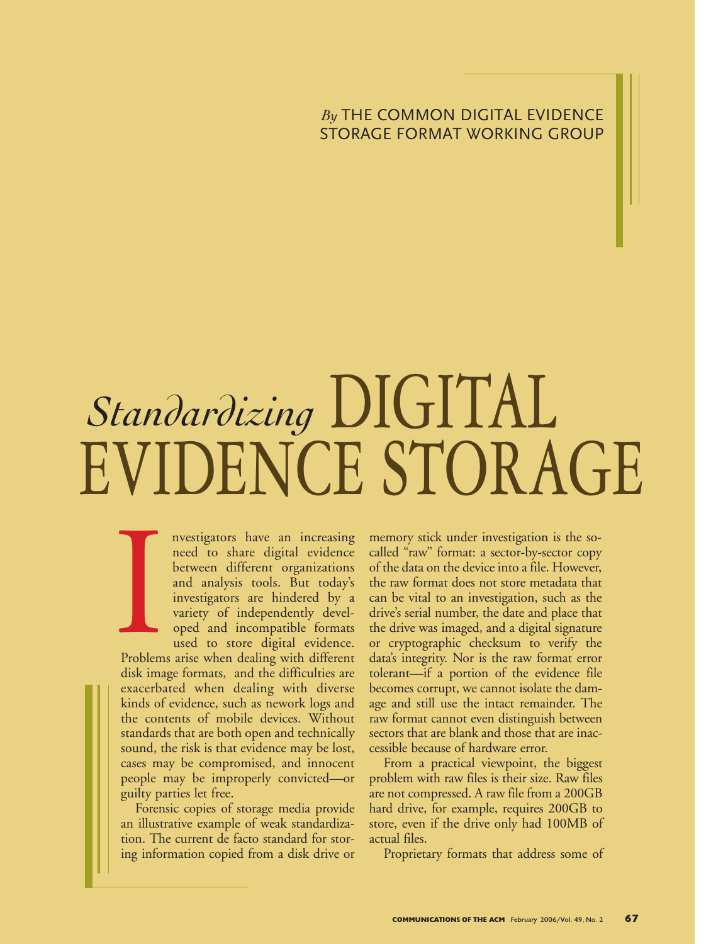## *By* THE COMMON DIGITAL EVIDENCE STORAGE FORMAT WORKING GROUP

## EVIDENCE STORAGE *Standardizing* DIGITAL

nvestigators have an increasing need to share digital evidence between different organizations and analysis tools. But today's investigators are hindered by a variety of independently developed and incompatible formats used to store digital evidence.

Problems arise when dealing with different disk image formats, and the difficulties are exacerbated when dealing with diverse kinds of evidence, such as nework logs and the contents of mobile devices. Without standards that are both open and technically sound, the risk is that evidence may be lost, cases may be compromised, and innocent people may be improperly convicted—or guilty parties let free. Problem

Forensic copies of storage media provide an illustrative example of weak standardization. The current de facto standard for storing information copied from a disk drive or

memory stick under investigation is the socalled "raw" format: a sector-by-sector copy of the data on the device into a file. However, the raw format does not store metadata that can be vital to an investigation, such as the drive's serial number, the date and place that the drive was imaged, and a digital signature or cryptographic checksum to verify the data's integrity. Nor is the raw format error tolerant—if a portion of the evidence file becomes corrupt, we cannot isolate the damage and still use the intact remainder. The raw format cannot even distinguish between sectors that are blank and those that are inaccessible because of hardware error.

From a practical viewpoint, the biggest problem with raw files is their size. Raw files are not compressed. A raw file from a 200GB hard drive, for example, requires 200GB to store, even if the drive only had 100MB of actual files.

Proprietary formats that address some of